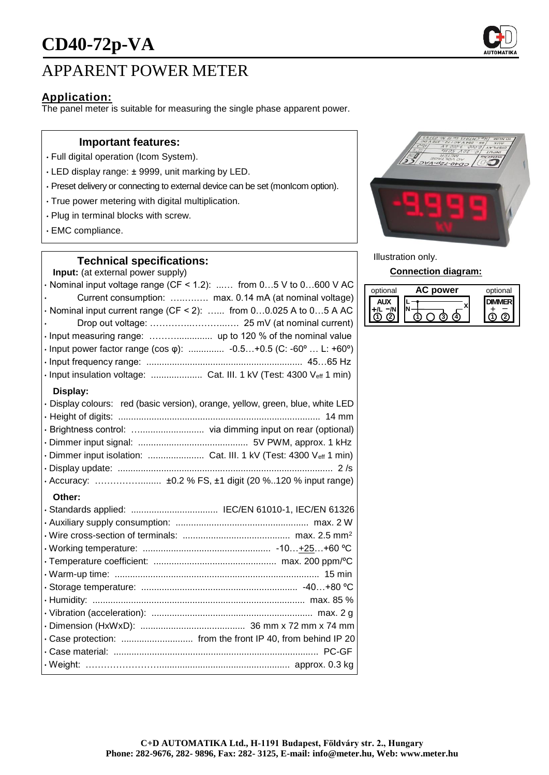

# APPARENT POWER METER

## **Application:**

The panel meter is suitable for measuring the single phase apparent power.

### **Important features:**

- Full digital operation (Icom System).
- LED display range: ± 9999, unit marking by LED.
- Preset delivery or connecting to external device can be set (monIcom option).
- True power metering with digital multiplication.
- Plug in terminal blocks with screw.
- EMC compliance.

### **Technical specifications:**

**Input:** (at external power supply)

| ,at ontonial power cappivi                                                     |
|--------------------------------------------------------------------------------|
| $\cdot$ Nominal input voltage range (CF < 1.2):  from 05 V to 0600 V AC        |
| Current consumption:  max. 0.14 mA (at nominal voltage)                        |
| $\cdot$ Nominal input current range (CF < 2):  from 00.025 A to 05 A AC        |
|                                                                                |
|                                                                                |
| · Input power factor range (cos φ):  -0.5+0.5 (C: -60°  L: +60°)               |
|                                                                                |
| · Input insulation voltage:  Cat. III. 1 kV (Test: 4300 Veff 1 min)            |
| Display:                                                                       |
| · Display colours: red (basic version), orange, yellow, green, blue, white LED |
|                                                                                |
|                                                                                |
|                                                                                |
| · Dimmer input isolation:  Cat. III. 1 kV (Test: 4300 Veff 1 min)              |
|                                                                                |
|                                                                                |
| Other:                                                                         |
|                                                                                |
|                                                                                |
|                                                                                |
|                                                                                |
|                                                                                |
|                                                                                |
|                                                                                |
|                                                                                |
|                                                                                |

• Dimension (HxWxD): ......................................... 36 mm x 72 mm x 74 mm • Case protection: ............................ from the front IP 40, from behind IP 20 • Case material: ................................................................................ PC-GF • Weight: ……………………................................................... approx. 0.3 kg



Illustration only.

#### **Connection diagram:**

| optional | power | optional |
|----------|-------|----------|
|          |       |          |